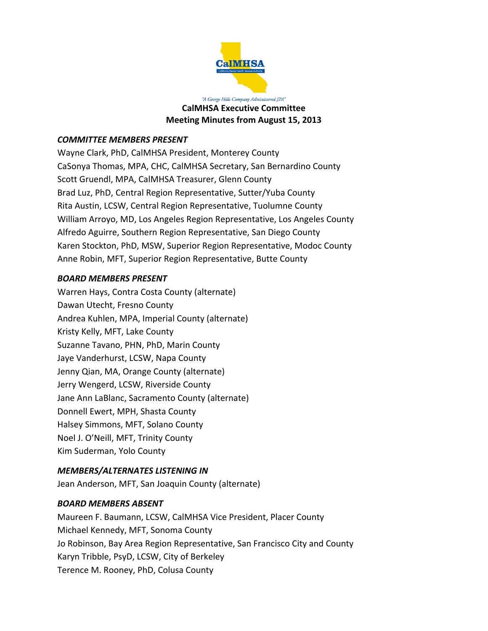

"A George Hills Company Administered JPA" **CalMHSA Executive Committee Meeting Minutes from August 15, 2013**

# *COMMITTEE MEMBERS PRESENT*

Wayne Clark, PhD, CalMHSA President, Monterey County CaSonya Thomas, MPA, CHC, CalMHSA Secretary, San Bernardino County Scott Gruendl, MPA, CalMHSA Treasurer, Glenn County Brad Luz, PhD, Central Region Representative, Sutter/Yuba County Rita Austin, LCSW, Central Region Representative, Tuolumne County William Arroyo, MD, Los Angeles Region Representative, Los Angeles County Alfredo Aguirre, Southern Region Representative, San Diego County Karen Stockton, PhD, MSW, Superior Region Representative, Modoc County Anne Robin, MFT, Superior Region Representative, Butte County

# *BOARD MEMBERS PRESENT*

Warren Hays, Contra Costa County (alternate) Dawan Utecht, Fresno County Andrea Kuhlen, MPA, Imperial County (alternate) Kristy Kelly, MFT, Lake County Suzanne Tavano, PHN, PhD, Marin County Jaye Vanderhurst, LCSW, Napa County Jenny Qian, MA, Orange County (alternate) Jerry Wengerd, LCSW, Riverside County Jane Ann LaBlanc, Sacramento County (alternate) Donnell Ewert, MPH, Shasta County Halsey Simmons, MFT, Solano County Noel J. O'Neill, MFT, Trinity County Kim Suderman, Yolo County

# *MEMBERS/ALTERNATES LISTENING IN*

Jean Anderson, MFT, San Joaquin County (alternate)

## *BOARD MEMBERS ABSENT*

Maureen F. Baumann, LCSW, CalMHSA Vice President, Placer County Michael Kennedy, MFT, Sonoma County Jo Robinson, Bay Area Region Representative, San Francisco City and County Karyn Tribble, PsyD, LCSW, City of Berkeley Terence M. Rooney, PhD, Colusa County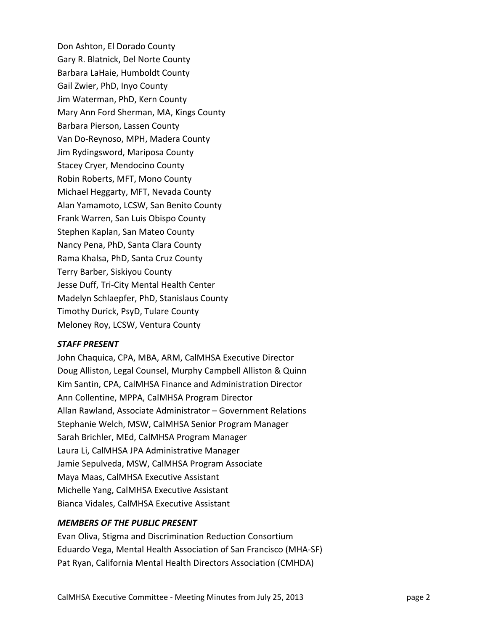Don Ashton, El Dorado County Gary R. Blatnick, Del Norte County Barbara LaHaie, Humboldt County Gail Zwier, PhD, Inyo County Jim Waterman, PhD, Kern County Mary Ann Ford Sherman, MA, Kings County Barbara Pierson, Lassen County Van Do‐Reynoso, MPH, Madera County Jim Rydingsword, Mariposa County Stacey Cryer, Mendocino County Robin Roberts, MFT, Mono County Michael Heggarty, MFT, Nevada County Alan Yamamoto, LCSW, San Benito County Frank Warren, San Luis Obispo County Stephen Kaplan, San Mateo County Nancy Pena, PhD, Santa Clara County Rama Khalsa, PhD, Santa Cruz County Terry Barber, Siskiyou County Jesse Duff, Tri‐City Mental Health Center Madelyn Schlaepfer, PhD, Stanislaus County Timothy Durick, PsyD, Tulare County Meloney Roy, LCSW, Ventura County

## *STAFF PRESENT*

John Chaquica, CPA, MBA, ARM, CalMHSA Executive Director Doug Alliston, Legal Counsel, Murphy Campbell Alliston & Quinn Kim Santin, CPA, CalMHSA Finance and Administration Director Ann Collentine, MPPA, CalMHSA Program Director Allan Rawland, Associate Administrator – Government Relations Stephanie Welch, MSW, CalMHSA Senior Program Manager Sarah Brichler, MEd, CalMHSA Program Manager Laura Li, CalMHSA JPA Administrative Manager Jamie Sepulveda, MSW, CalMHSA Program Associate Maya Maas, CalMHSA Executive Assistant Michelle Yang, CalMHSA Executive Assistant Bianca Vidales, CalMHSA Executive Assistant

## *MEMBERS OF THE PUBLIC PRESENT*

Evan Oliva, Stigma and Discrimination Reduction Consortium Eduardo Vega, Mental Health Association of San Francisco (MHA‐SF) Pat Ryan, California Mental Health Directors Association (CMHDA)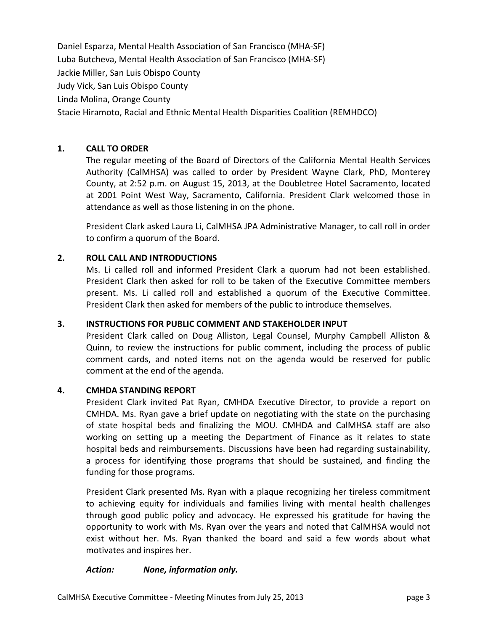Daniel Esparza, Mental Health Association of San Francisco (MHA‐SF) Luba Butcheva, Mental Health Association of San Francisco (MHA‐SF) Jackie Miller, San Luis Obispo County Judy Vick, San Luis Obispo County Linda Molina, Orange County Stacie Hiramoto, Racial and Ethnic Mental Health Disparities Coalition (REMHDCO)

# **1. CALL TO ORDER**

The regular meeting of the Board of Directors of the California Mental Health Services Authority (CalMHSA) was called to order by President Wayne Clark, PhD, Monterey County, at 2:52 p.m. on August 15, 2013, at the Doubletree Hotel Sacramento, located at 2001 Point West Way, Sacramento, California. President Clark welcomed those in attendance as well as those listening in on the phone.

President Clark asked Laura Li, CalMHSA JPA Administrative Manager, to call roll in order to confirm a quorum of the Board.

# **2. ROLL CALL AND INTRODUCTIONS**

Ms. Li called roll and informed President Clark a quorum had not been established. President Clark then asked for roll to be taken of the Executive Committee members present. Ms. Li called roll and established a quorum of the Executive Committee. President Clark then asked for members of the public to introduce themselves.

## **3. INSTRUCTIONS FOR PUBLIC COMMENT AND STAKEHOLDER INPUT**

President Clark called on Doug Alliston, Legal Counsel, Murphy Campbell Alliston & Quinn, to review the instructions for public comment, including the process of public comment cards, and noted items not on the agenda would be reserved for public comment at the end of the agenda.

#### **4. CMHDA STANDING REPORT**

President Clark invited Pat Ryan, CMHDA Executive Director, to provide a report on CMHDA. Ms. Ryan gave a brief update on negotiating with the state on the purchasing of state hospital beds and finalizing the MOU. CMHDA and CalMHSA staff are also working on setting up a meeting the Department of Finance as it relates to state hospital beds and reimbursements. Discussions have been had regarding sustainability, a process for identifying those programs that should be sustained, and finding the funding for those programs.

President Clark presented Ms. Ryan with a plaque recognizing her tireless commitment to achieving equity for individuals and families living with mental health challenges through good public policy and advocacy. He expressed his gratitude for having the opportunity to work with Ms. Ryan over the years and noted that CalMHSA would not exist without her. Ms. Ryan thanked the board and said a few words about what motivates and inspires her.

#### *Action: None, information only.*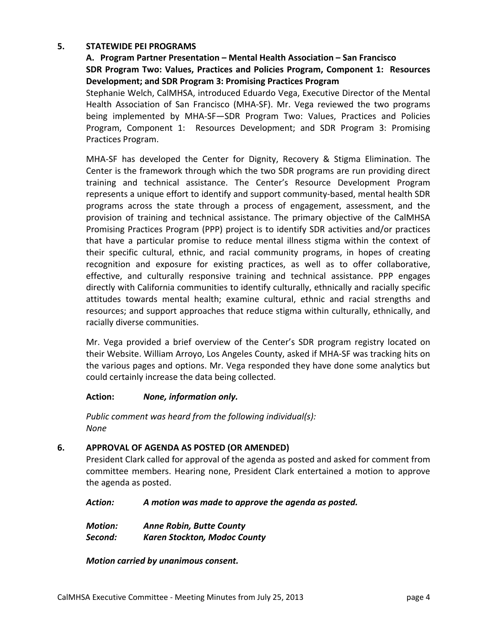## **5. STATEWIDE PEI PROGRAMS**

# **A. Program Partner Presentation – Mental Health Association – San Francisco SDR Program Two: Values, Practices and Policies Program, Component 1: Resources Development; and SDR Program 3: Promising Practices Program**

Stephanie Welch, CalMHSA, introduced Eduardo Vega, Executive Director of the Mental Health Association of San Francisco (MHA‐SF). Mr. Vega reviewed the two programs being implemented by MHA‐SF—SDR Program Two: Values, Practices and Policies Program, Component 1: Resources Development; and SDR Program 3: Promising Practices Program.

MHA‐SF has developed the Center for Dignity, Recovery & Stigma Elimination. The Center is the framework through which the two SDR programs are run providing direct training and technical assistance. The Center's Resource Development Program represents a unique effort to identify and support community‐based, mental health SDR programs across the state through a process of engagement, assessment, and the provision of training and technical assistance. The primary objective of the CalMHSA Promising Practices Program (PPP) project is to identify SDR activities and/or practices that have a particular promise to reduce mental illness stigma within the context of their specific cultural, ethnic, and racial community programs, in hopes of creating recognition and exposure for existing practices, as well as to offer collaborative, effective, and culturally responsive training and technical assistance. PPP engages directly with California communities to identify culturally, ethnically and racially specific attitudes towards mental health; examine cultural, ethnic and racial strengths and resources; and support approaches that reduce stigma within culturally, ethnically, and racially diverse communities.

Mr. Vega provided a brief overview of the Center's SDR program registry located on their Website. William Arroyo, Los Angeles County, asked if MHA‐SF was tracking hits on the various pages and options. Mr. Vega responded they have done some analytics but could certainly increase the data being collected.

## **Action:**  *None, information only.*

*Public comment was heard from the following individual(s): None*

## **6. APPROVAL OF AGENDA AS POSTED (OR AMENDED)**

President Clark called for approval of the agenda as posted and asked for comment from committee members. Hearing none, President Clark entertained a motion to approve the agenda as posted.

*Action: A motion was made to approve the agenda as posted.*

*Motion: Anne Robin, Butte County*

*Second: Karen Stockton, Modoc County*

*Motion carried by unanimous consent.*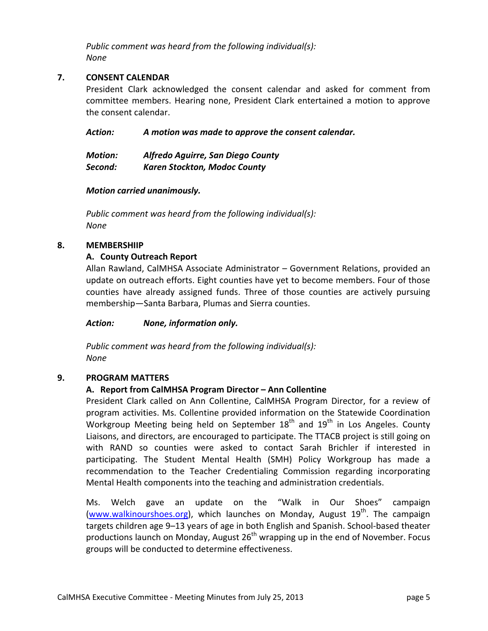*Public comment was heard from the following individual(s): None*

# **7. CONSENT CALENDAR**

President Clark acknowledged the consent calendar and asked for comment from committee members. Hearing none, President Clark entertained a motion to approve the consent calendar.

*Action: A motion was made to approve the consent calendar.*

| <b>Motion:</b> | Alfredo Aguirre, San Diego County   |
|----------------|-------------------------------------|
| Second:        | <b>Karen Stockton, Modoc County</b> |

# *Motion carried unanimously.*

*Public comment was heard from the following individual(s): None*

## **8. MEMBERSHIIP**

# **A. County Outreach Report**

Allan Rawland, CalMHSA Associate Administrator – Government Relations, provided an update on outreach efforts. Eight counties have yet to become members. Four of those counties have already assigned funds. Three of those counties are actively pursuing membership—Santa Barbara, Plumas and Sierra counties.

*Action: None, information only.*

*Public comment was heard from the following individual(s): None*

## **9. PROGRAM MATTERS**

# **A. Report from CalMHSA Program Director – Ann Collentine**

President Clark called on Ann Collentine, CalMHSA Program Director, for a review of program activities. Ms. Collentine provided information on the Statewide Coordination Workgroup Meeting being held on September  $18<sup>th</sup>$  and  $19<sup>th</sup>$  in Los Angeles. County Liaisons, and directors, are encouraged to participate. The TTACB project is still going on with RAND so counties were asked to contact Sarah Brichler if interested in participating. The Student Mental Health (SMH) Policy Workgroup has made a recommendation to the Teacher Credentialing Commission regarding incorporating Mental Health components into the teaching and administration credentials.

Ms. Welch gave an update on the "Walk in Our Shoes" campaign (www.walkinourshoes.org), which launches on Monday, August  $19<sup>th</sup>$ . The campaign targets children age 9–13 years of age in both English and Spanish. School-based theater productions launch on Monday, August  $26<sup>th</sup>$  wrapping up in the end of November. Focus groups will be conducted to determine effectiveness.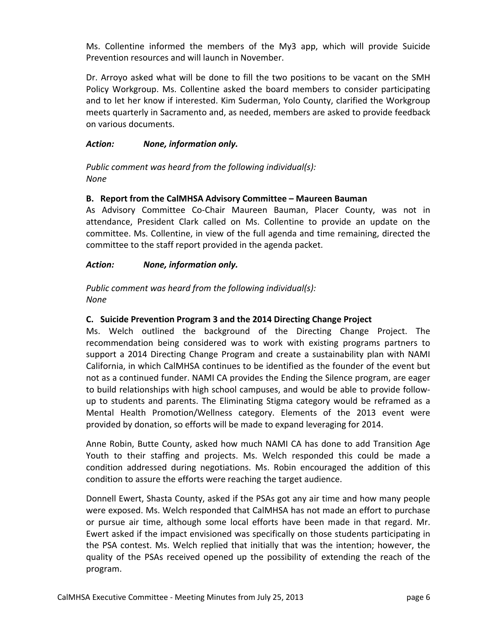Ms. Collentine informed the members of the My3 app, which will provide Suicide Prevention resources and will launch in November.

Dr. Arroyo asked what will be done to fill the two positions to be vacant on the SMH Policy Workgroup. Ms. Collentine asked the board members to consider participating and to let her know if interested. Kim Suderman, Yolo County, clarified the Workgroup meets quarterly in Sacramento and, as needed, members are asked to provide feedback on various documents.

# *Action: None, information only.*

*Public comment was heard from the following individual(s): None*

## **B. Report from the CalMHSA Advisory Committee – Maureen Bauman**

As Advisory Committee Co-Chair Maureen Bauman, Placer County, was not in attendance, President Clark called on Ms. Collentine to provide an update on the committee. Ms. Collentine, in view of the full agenda and time remaining, directed the committee to the staff report provided in the agenda packet.

# *Action: None, information only.*

*Public comment was heard from the following individual(s): None*

## **C. Suicide Prevention Program 3 and the 2014 Directing Change Project**

Ms. Welch outlined the background of the Directing Change Project. The recommendation being considered was to work with existing programs partners to support a 2014 Directing Change Program and create a sustainability plan with NAMI California, in which CalMHSA continues to be identified as the founder of the event but not as a continued funder. NAMI CA provides the Ending the Silence program, are eager to build relationships with high school campuses, and would be able to provide follow‐ up to students and parents. The Eliminating Stigma category would be reframed as a Mental Health Promotion/Wellness category. Elements of the 2013 event were provided by donation, so efforts will be made to expand leveraging for 2014.

Anne Robin, Butte County, asked how much NAMI CA has done to add Transition Age Youth to their staffing and projects. Ms. Welch responded this could be made a condition addressed during negotiations. Ms. Robin encouraged the addition of this condition to assure the efforts were reaching the target audience.

Donnell Ewert, Shasta County, asked if the PSAs got any air time and how many people were exposed. Ms. Welch responded that CalMHSA has not made an effort to purchase or pursue air time, although some local efforts have been made in that regard. Mr. Ewert asked if the impact envisioned was specifically on those students participating in the PSA contest. Ms. Welch replied that initially that was the intention; however, the quality of the PSAs received opened up the possibility of extending the reach of the program.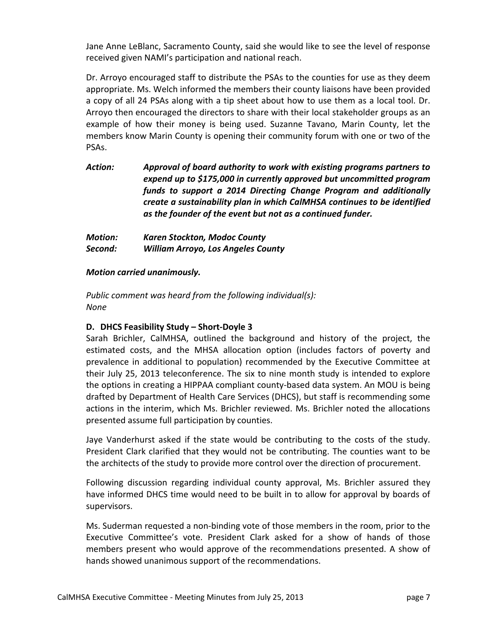Jane Anne LeBlanc, Sacramento County, said she would like to see the level of response received given NAMI's participation and national reach.

Dr. Arroyo encouraged staff to distribute the PSAs to the counties for use as they deem appropriate. Ms. Welch informed the members their county liaisons have been provided a copy of all 24 PSAs along with a tip sheet about how to use them as a local tool. Dr. Arroyo then encouraged the directors to share with their local stakeholder groups as an example of how their money is being used. Suzanne Tavano, Marin County, let the members know Marin County is opening their community forum with one or two of the PSAs.

*Action: Approval of board authority to work with existing programs partners to expend up to \$175,000 in currently approved but uncommitted program funds to support a 2014 Directing Change Program and additionally create a sustainability plan in which CalMHSA continues to be identified as the founder of the event but not as a continued funder.*

| <b>Motion:</b> | <b>Karen Stockton, Modoc County</b>       |
|----------------|-------------------------------------------|
| Second:        | <b>William Arroyo, Los Angeles County</b> |

## *Motion carried unanimously.*

*Public comment was heard from the following individual(s): None*

# **D. DHCS Feasibility Study – Short‐Doyle 3**

Sarah Brichler, CalMHSA, outlined the background and history of the project, the estimated costs, and the MHSA allocation option (includes factors of poverty and prevalence in additional to population) recommended by the Executive Committee at their July 25, 2013 teleconference. The six to nine month study is intended to explore the options in creating a HIPPAA compliant county‐based data system. An MOU is being drafted by Department of Health Care Services (DHCS), but staff is recommending some actions in the interim, which Ms. Brichler reviewed. Ms. Brichler noted the allocations presented assume full participation by counties.

Jaye Vanderhurst asked if the state would be contributing to the costs of the study. President Clark clarified that they would not be contributing. The counties want to be the architects of the study to provide more control over the direction of procurement.

Following discussion regarding individual county approval, Ms. Brichler assured they have informed DHCS time would need to be built in to allow for approval by boards of supervisors.

Ms. Suderman requested a non‐binding vote of those members in the room, prior to the Executive Committee's vote. President Clark asked for a show of hands of those members present who would approve of the recommendations presented. A show of hands showed unanimous support of the recommendations.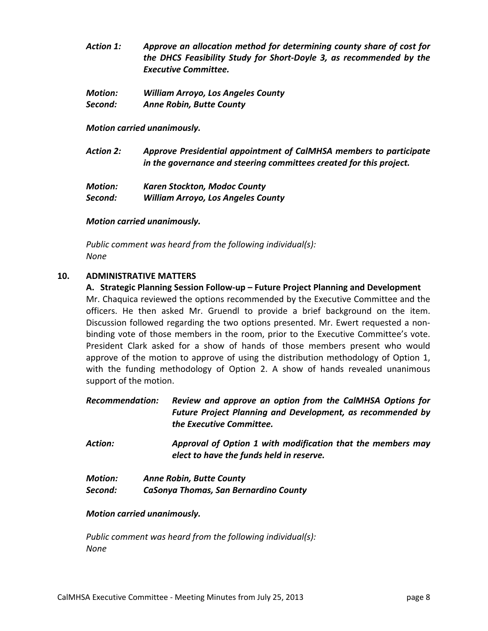- *Action 1: Approve an allocation method for determining county share of cost for the DHCS Feasibility Study for Short‐Doyle 3, as recommended by the Executive Committee.*
- *Motion: William Arroyo, Los Angeles County Second: Anne Robin, Butte County*

*Motion carried unanimously.*

*Action 2: Approve Presidential appointment of CalMHSA members to participate in the governance and steering committees created for this project.*

| <b>Motion:</b> | <b>Karen Stockton, Modoc County</b>       |
|----------------|-------------------------------------------|
| Second:        | <b>William Arroyo, Los Angeles County</b> |

## *Motion carried unanimously.*

*Public comment was heard from the following individual(s): None*

## **10. ADMINISTRATIVE MATTERS**

**A. Strategic Planning Session Follow‐up – Future Project Planning and Development** Mr. Chaquica reviewed the options recommended by the Executive Committee and the officers. He then asked Mr. Gruendl to provide a brief background on the item. Discussion followed regarding the two options presented. Mr. Ewert requested a non‐ binding vote of those members in the room, prior to the Executive Committee's vote. President Clark asked for a show of hands of those members present who would approve of the motion to approve of using the distribution methodology of Option 1, with the funding methodology of Option 2. A show of hands revealed unanimous support of the motion.

*Recommendation: Review and approve an option from the CalMHSA Options for Future Project Planning and Development, as recommended by the Executive Committee.*

*Action: Approval of Option 1 with modification that the members may elect to have the funds held in reserve.*

*Motion: Anne Robin, Butte County Second: CaSonya Thomas, San Bernardino County*

## *Motion carried unanimously.*

*Public comment was heard from the following individual(s): None*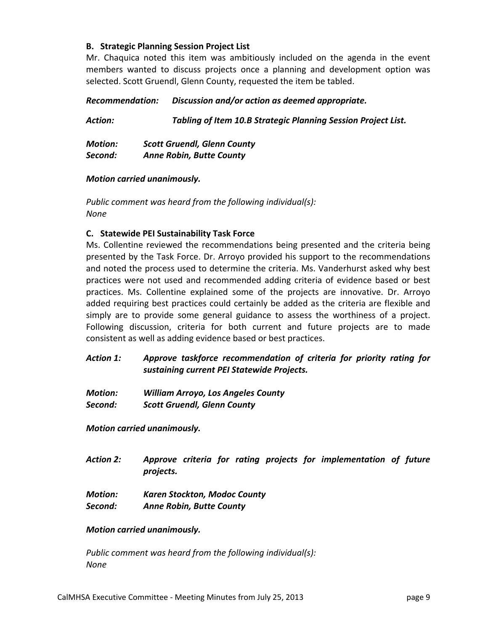## **B. Strategic Planning Session Project List**

Mr. Chaquica noted this item was ambitiously included on the agenda in the event members wanted to discuss projects once a planning and development option was selected. Scott Gruendl, Glenn County, requested the item be tabled.

## *Recommendation: Discussion and/or action as deemed appropriate.*

*Action: Tabling of Item 10.B Strategic Planning Session Project List.*

*Motion: Scott Gruendl, Glenn County Second: Anne Robin, Butte County*

## *Motion carried unanimously.*

*Public comment was heard from the following individual(s): None*

# **C. Statewide PEI Sustainability Task Force**

Ms. Collentine reviewed the recommendations being presented and the criteria being presented by the Task Force. Dr. Arroyo provided his support to the recommendations and noted the process used to determine the criteria. Ms. Vanderhurst asked why best practices were not used and recommended adding criteria of evidence based or best practices. Ms. Collentine explained some of the projects are innovative. Dr. Arroyo added requiring best practices could certainly be added as the criteria are flexible and simply are to provide some general guidance to assess the worthiness of a project. Following discussion, criteria for both current and future projects are to made consistent as well as adding evidence based or best practices.

# *Action 1: Approve taskforce recommendation of criteria for priority rating for sustaining current PEI Statewide Projects.*

*Motion: William Arroyo, Los Angeles County Second: Scott Gruendl, Glenn County*

*Motion carried unanimously.*

- *Action 2: Approve criteria for rating projects for implementation of future projects.*
- *Motion: Karen Stockton, Modoc County Second: Anne Robin, Butte County*

## *Motion carried unanimously.*

*Public comment was heard from the following individual(s): None*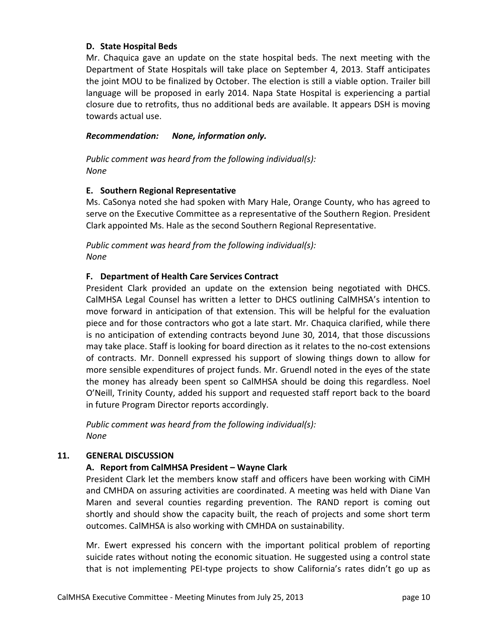## **D. State Hospital Beds**

Mr. Chaquica gave an update on the state hospital beds. The next meeting with the Department of State Hospitals will take place on September 4, 2013. Staff anticipates the joint MOU to be finalized by October. The election is still a viable option. Trailer bill language will be proposed in early 2014. Napa State Hospital is experiencing a partial closure due to retrofits, thus no additional beds are available. It appears DSH is moving towards actual use.

#### *Recommendation: None, information only.*

*Public comment was heard from the following individual(s): None*

## **E. Southern Regional Representative**

Ms. CaSonya noted she had spoken with Mary Hale, Orange County, who has agreed to serve on the Executive Committee as a representative of the Southern Region. President Clark appointed Ms. Hale as the second Southern Regional Representative.

*Public comment was heard from the following individual(s): None*

## **F. Department of Health Care Services Contract**

President Clark provided an update on the extension being negotiated with DHCS. CalMHSA Legal Counsel has written a letter to DHCS outlining CalMHSA's intention to move forward in anticipation of that extension. This will be helpful for the evaluation piece and for those contractors who got a late start. Mr. Chaquica clarified, while there is no anticipation of extending contracts beyond June 30, 2014, that those discussions may take place. Staff is looking for board direction as it relates to the no‐cost extensions of contracts. Mr. Donnell expressed his support of slowing things down to allow for more sensible expenditures of project funds. Mr. Gruendl noted in the eyes of the state the money has already been spent so CalMHSA should be doing this regardless. Noel O'Neill, Trinity County, added his support and requested staff report back to the board in future Program Director reports accordingly.

*Public comment was heard from the following individual(s): None*

## **11. GENERAL DISCUSSION**

## **A. Report from CalMHSA President – Wayne Clark**

President Clark let the members know staff and officers have been working with CiMH and CMHDA on assuring activities are coordinated. A meeting was held with Diane Van Maren and several counties regarding prevention. The RAND report is coming out shortly and should show the capacity built, the reach of projects and some short term outcomes. CalMHSA is also working with CMHDA on sustainability.

Mr. Ewert expressed his concern with the important political problem of reporting suicide rates without noting the economic situation. He suggested using a control state that is not implementing PEI‐type projects to show California's rates didn't go up as